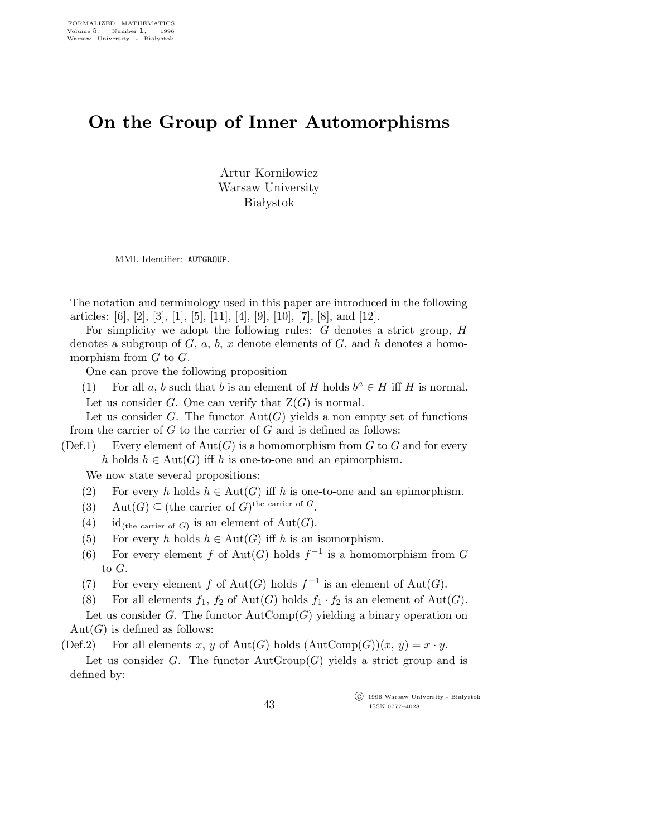## On the Group of Inner Automorphisms

Artur Korniłowicz Warsaw University **Białystok** 

MML Identifier: AUTGROUP.

The notation and terminology used in this paper are introduced in the following articles: [6], [2], [3], [1], [5], [11], [4], [9], [10], [7], [8], and [12].

For simplicity we adopt the following rules:  $G$  denotes a strict group,  $H$ denotes a subgroup of  $G, a, b, x$  denote elements of  $G$ , and  $h$  denotes a homomorphism from  $G$  to  $G$ .

One can prove the following proposition

(1) For all a, b such that b is an element of H holds  $b^a \in H$  iff H is normal. Let us consider G. One can verify that  $Z(G)$  is normal.

Let us consider G. The functor  $Aut(G)$  yields a non empty set of functions from the carrier of  $G$  to the carrier of  $G$  and is defined as follows:

 $(Def.1)$  Every element of  $Aut(G)$  is a homomorphism from G to G and for every h holds  $h \in Aut(G)$  iff h is one-to-one and an epimorphism.

We now state several propositions:

- (2) For every h holds  $h \in \text{Aut}(G)$  iff h is one-to-one and an epimorphism.
- (3) Aut $(G) \subseteq$  (the carrier of G)<sup>the carrier of G</sup>.
- (4) id<sub>(the carrier of G)</sub> is an element of  $Aut(G)$ .
- (5) For every h holds  $h \in Aut(G)$  iff h is an isomorphism.
- (6) For every element f of Aut(G) holds  $f^{-1}$  is a homomorphism from G to G.
- (7) For every element f of Aut(G) holds  $f^{-1}$  is an element of Aut(G).
- (8) For all elements  $f_1$ ,  $f_2$  of Aut(G) holds  $f_1 \cdot f_2$  is an element of Aut(G).

Let us consider G. The functor  $AutComp(G)$  yielding a binary operation on  $Aut(G)$  is defined as follows:

(Def.2) For all elements x, y of Aut(G) holds  $(\text{AutComp}(G))(x, y) = x \cdot y$ .

Let us consider G. The functor  $AutGroup(G)$  yields a strict group and is defined by:

> $\overline{\text{C}}$  1996 Warsaw University - Białystok ISSN 0777–4028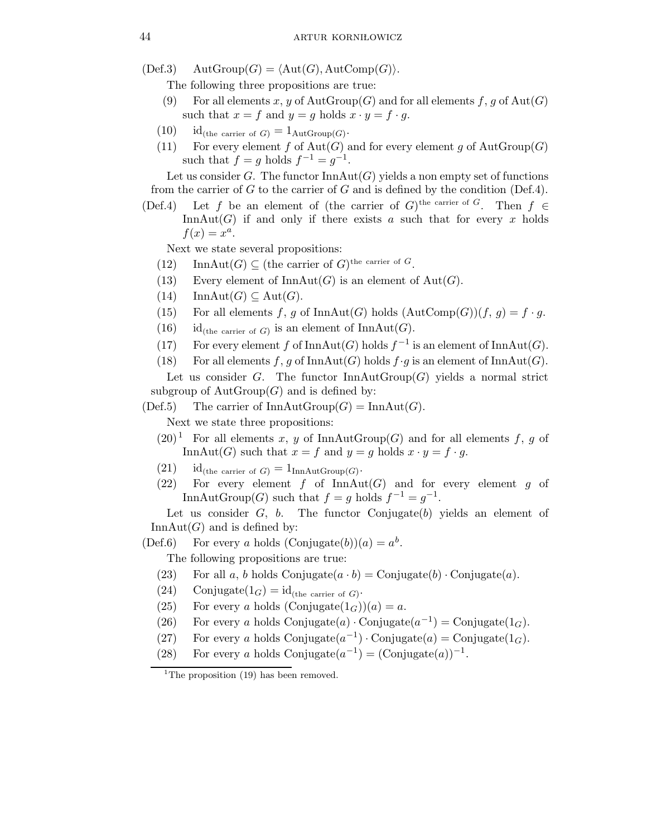$(Def.3)$  AutGroup $(G) = \langle Aut(G), AutComp(G) \rangle$ .

The following three propositions are true:

- (9) For all elements x, y of AutGroup(G) and for all elements f, g of Aut(G) such that  $x = f$  and  $y = g$  holds  $x \cdot y = f \cdot g$ .
- (10)  $id_{\text{(the carrier of } G)} = 1_{\text{AutGroup}(G)}.$
- (11) For every element f of  $Aut(G)$  and for every element q of  $AutGroup(G)$ such that  $f = g$  holds  $f^{-1} = g^{-1}$ .

Let us consider G. The functor  $InnAut(G)$  yields a non empty set of functions from the carrier of G to the carrier of G and is defined by the condition  $(Def.4)$ .

(Def.4) Let f be an element of (the carrier of G)<sup>the carrier of G</sup>. Then  $f \in$ InnAut(G) if and only if there exists a such that for every x holds  $f(x) = x^a$ .

Next we state several propositions:

- (12) InnAut $(G) \subseteq$  (the carrier of  $G$ )<sup>the carrier of  $G$ </sup>.
- (13) Every element of  $InnAut(G)$  is an element of  $Aut(G)$ .
- $(14)$  InnAut $(G) \subseteq$ Aut $(G)$ .
- (15) For all elements f, g of  $InnAut(G)$  holds  $(AutComp(G))(f, g) = f \cdot g$ .
- (16) id<sub>(the carrier of G)</sub> is an element of InnAut(G).
- (17) For every element f of  $InnAut(G)$  holds  $f^{-1}$  is an element of  $InnAut(G)$ .
- (18) For all elements f, g of  $InnAut(G)$  holds  $f \cdot g$  is an element of  $InnAut(G)$ .

Let us consider G. The functor  $InRAutGroup(G)$  yields a normal strict subgroup of  $AutGroup(G)$  and is defined by:

(Def.5) The carrier of  $InnAutGroup(G) = InnAut(G)$ .

Next we state three propositions:

- $(20)^1$  For all elements x, y of InnAutGroup(G) and for all elements f, g of InnAut(G) such that  $x = f$  and  $y = g$  holds  $x \cdot y = f \cdot g$ .
- (21) id<sub>(the carrier of G)</sub> =  $1_{\text{InnAutGroup}(G)}$ .
- (22) For every element f of  $InnAut(G)$  and for every element q of InnAutGroup(G) such that  $f = g$  holds  $f^{-1} = g^{-1}$ .

Let us consider  $G, b$ . The functor Conjugate $(b)$  yields an element of  $InnAut(G)$  and is defined by:

(Def.6) For every a holds  $(Conjugate(b))(a) = a^b$ .

The following propositions are true:

- (23) For all a, b holds Conjugate $(a \cdot b)$  = Conjugate $(b) \cdot$ Conjugate $(a)$ .
- (24) Conjugate $(1_G) = id_{(the \text{ carrier of } G)}$ .
- (25) For every a holds  $(Conjugate(1_G))(a) = a$ .
- (26) For every a holds Conjugate(a)  $\cdot$  Conjugate(a<sup>-1</sup>) = Conjugate(1<sub>G</sub>).
- (27) For every a holds Conjugate $(a^{-1})$  · Conjugate $(a)$  = Conjugate $(1_G)$ .
- (28) For every a holds Conjugate $(a^{-1}) = (\text{Conjugate}(a))^{-1}$ .

<sup>&</sup>lt;sup>1</sup>The proposition  $(19)$  has been removed.